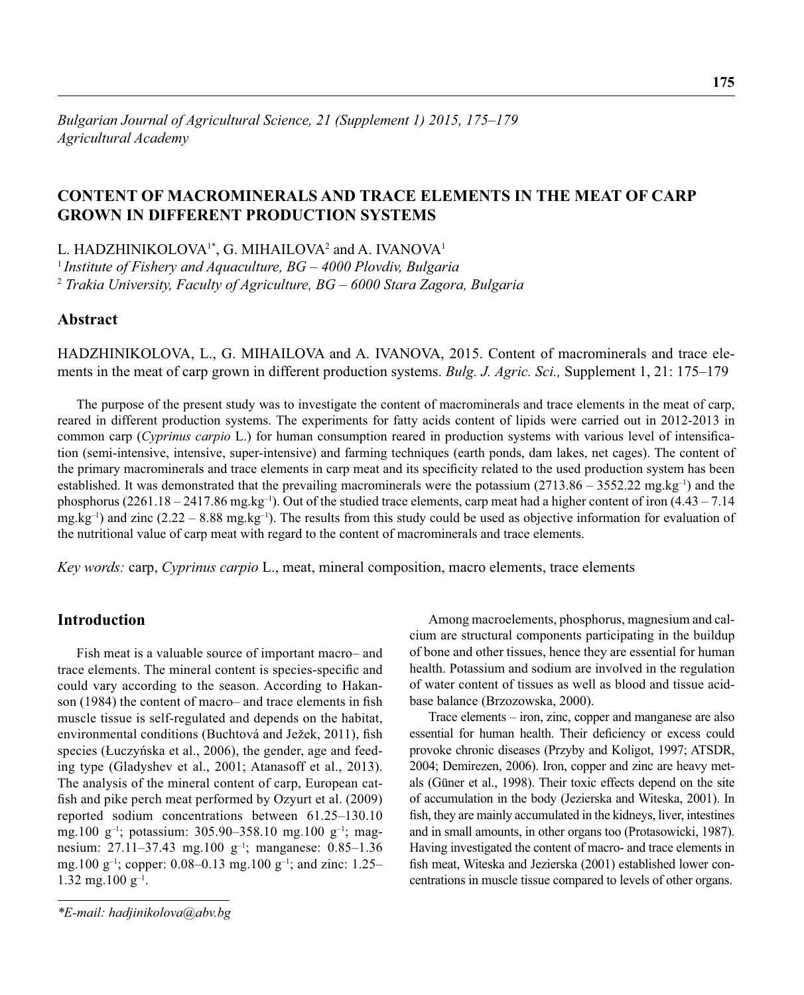## **CONTENT OF MACROMINERALS AND TRACE ELEMENTS IN THE MEAT OF CARP GROWN IN DIFFERENT PRODUCTION SYSTEMS**

L. HADZHINIKOLOVA<sup>1\*</sup>, G. MIHAILOVA<sup>2</sup> and A. IVANOVA<sup>1</sup>

<sup>1</sup>*Institute of Fishery and Aquaculture, BG – 4000 Plovdiv, Bulgaria* <sup>2</sup> *Trakia University, Faculty of Agriculture, BG – 6000 Stara Zagora, Bulgaria*

## **Abstract**

HADZHINIKOLOVA, L., G. MIHAILOVA and A. IVANOVA, 2015. Content of macrominerals and trace elements in the meat of carp grown in different production systems. *Bulg. J. Agric. Sci.,* Supplement 1, 21: 175–179

The purpose of the present study was to investigate the content of macrominerals and trace elements in the meat of carp, reared in different production systems. The experiments for fatty acids content of lipids were carried out in 2012-2013 in common carp (*Cyprinus carpio* L.) for human consumption reared in production systems with various level of intensification (semi-intensive, intensive, super-intensive) and farming techniques (earth ponds, dam lakes, net cages). The content of the primary macrominerals and trace elements in carp meat and its specificity related to the used production system has been established. It was demonstrated that the prevailing macrominerals were the potassium  $(2713.86 - 3552.22 \text{ mg} \cdot \text{kg}^{-1})$  and the phosphorus (2261.18 – 2417.86 mg.kg<sup>-1</sup>). Out of the studied trace elements, carp meat had a higher content of iron (4.43 – 7.14) mg.kg<sup>-1</sup>) and zinc (2.22 – 8.88 mg.kg<sup>-1</sup>). The results from this study could be used as objective information for evaluation of the nutritional value of carp meat with regard to the content of macrominerals and trace elements.

*Key words:* carp, *Cyprinus carpio* L., meat, mineral composition, macro elements, trace elements

## **Introduction**

Fish meat is a valuable source of important macro– and trace elements. The mineral content is species-specific and could vary according to the season. According to Hakanson (1984) the content of macro– and trace elements in fish muscle tissue is self-regulated and depends on the habitat, environmental conditions (Buchtová and Ježek, 2011), fish species (Łuczyńska et al., 2006), the gender, age and feeding type (Gladyshev et al., 2001; Atanasoff et al., 2013). The analysis of the mineral content of carp, European catfish and pike perch meat performed by Ozyurt et al. (2009) reported sodium concentrations between 61.25–130.10 mg.100 g–1; potassium: 305.90–358.10 mg.100 g–1; magnesium: 27.11–37.43 mg.100 g–1; manganese: 0.85–1.36 mg.100 g<sup>-1</sup>; copper: 0.08–0.13 mg.100 g<sup>-1</sup>; and zinc: 1.25– 1.32 mg.100  $g^{-1}$ .

Among macroelements, phosphorus, magnesium and calcium are structural components participating in the buildup of bone and other tissues, hence they are essential for human health. Potassium and sodium are involved in the regulation of water content of tissues as well as blood and tissue acidbase balance (Brzozowska, 2000).

Trace elements – iron, zinc, copper and manganese are also essential for human health. Their deficiency or excess could provoke chronic diseases (Przyby and Koligot, 1997; ATSDR, 2004; Demirezen, 2006). Iron, copper and zinc are heavy metals (Güner et al., 1998). Their toxic effects depend on the site of accumulation in the body (Jezierska and Witeska, 2001). In fish, they are mainly accumulated in the kidneys, liver, intestines and in small amounts, in other organs too (Protasowicki, 1987). Having investigated the content of macro- and trace elements in fish meat, Witeska and Jezierska (2001) established lower concentrations in muscle tissue compared to levels of other organs.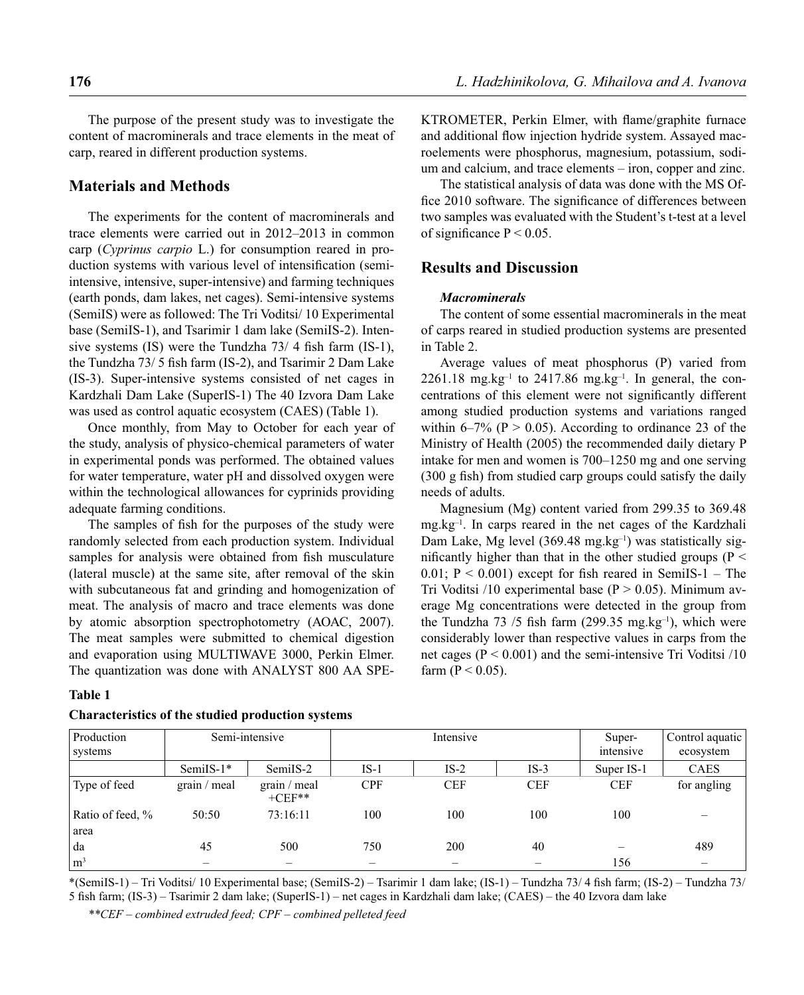The purpose of the present study was to investigate the content of macrominerals and trace elements in the meat of carp, reared in different production systems.

### **Materials and Methods**

The experiments for the content of macrominerals and trace elements were carried out in 2012–2013 in common carp (*Cyprinus carpio* L.) for consumption reared in production systems with various level of intensification (semiintensive, intensive, super-intensive) and farming techniques (earth ponds, dam lakes, net cages). Semi-intensive systems (SemiIS) were as followed: The Tri Voditsi/ 10 Experimental base (SemiIS-1), and Tsarimir 1 dam lake (SemiIS-2). Intensive systems (IS) were the Tundzha  $73/4$  fish farm (IS-1), the Tundzha  $73/5$  fish farm (IS-2), and Tsarimir 2 Dam Lake (IS-3). Super-intensive systems consisted of net cages in Kardzhali Dam Lake (SuperIS-1) The 40 Izvora Dam Lake was used as control aquatic ecosystem (CAES) (Table 1).

Once monthly, from May to October for each year of the study, analysis of physico-chemical parameters of water in experimental ponds was performed. The obtained values for water temperature, water pH and dissolved oxygen were within the technological allowances for cyprinids providing adequate farming conditions.

The samples of fish for the purposes of the study were randomly selected from each production system. Individual samples for analysis were obtained from fish musculature (lateral muscle) at the same site, after removal of the skin with subcutaneous fat and grinding and homogenization of meat. The analysis of macro and trace elements was done by atomic absorption spectrophotometry (АОАС, 2007). The meat samples were submitted to chemical digestion and evaporation using MULTIWAVE 3000, Perkin Elmer. The quantization was done with ANALYST 800 AA SPE-

#### **Table 1**

#### **Characteristics of the studied production systems**

KTROMETER, Perkin Elmer, with flame/graphite furnace and additional flow injection hydride system. Assayed macroelements were phosphorus, magnesium, potassium, sodium and calcium, and trace elements – iron, copper and zinc.

The statistical analysis of data was done with the MS Office 2010 software. The significance of differences between two samples was evaluated with the Student's t-test at a level of significance  $P < 0.05$ .

## **Results and Discussion**

#### *Macrominerals*

The content of some essential macrominerals in the meat of carps reared in studied production systems are presented in Table 2.

Average values of meat phosphorus (Р) varied from  $2261.18 \text{ mg} \cdot \text{kg}^{-1}$  to  $2417.86 \text{ mg} \cdot \text{kg}^{-1}$ . In general, the concentrations of this element were not significantly different among studied production systems and variations ranged within 6–7% ( $P > 0.05$ ). According to ordinance 23 of the Ministry of Health (2005) the recommended daily dietary P intake for men and women is 700–1250 mg and one serving  $(300 \text{ g fish})$  from studied carp groups could satisfy the daily needs of adults.

Magnesium (Mg) content varied from 299.35 to 369.48 mg.kg–1. In carps reared in the net cages of the Kardzhali Dam Lake, Mg level  $(369.48 \text{ mg} \cdot \text{kg}^{-1})$  was statistically significantly higher than that in the other studied groups ( $P <$ 0.01;  $P < 0.001$ ) except for fish reared in SemilS-1 – The Tri Voditsi /10 experimental base ( $P > 0.05$ ). Minimum average Mg concentrations were detected in the group from the Tundzha 73 /5 fish farm (299.35 mg.kg<sup>-1</sup>), which were considerably lower than respective values in carps from the net cages ( $P < 0.001$ ) and the semi-intensive Tri Voditsi /10 farm ( $P < 0.05$ ).

| Production<br>systems | Semi-intensive |                          |                   | Intensive  | Super-<br>intensive | Control aquatic<br>ecosystem |             |
|-----------------------|----------------|--------------------------|-------------------|------------|---------------------|------------------------------|-------------|
|                       | SemilS- $1*$   | SemilS-2                 | $IS-1$            | $IS-2$     | $IS-3$              | Super IS-1                   | <b>CAES</b> |
| Type of feed          | grain / meal   | grain / meal<br>$+CEF**$ | <b>CPF</b>        | <b>CEF</b> | <b>CEF</b>          | <b>CEF</b>                   | for angling |
| Ratio of feed, %      | 50:50          | 73:16:11                 | 100               | 100        | 100                 | 100                          |             |
| area                  |                |                          |                   |            |                     |                              |             |
| da                    | 45             | 500                      | 750               | 200        | 40                  |                              | 489         |
| $\rm \ln^3$           |                |                          | $\hspace{0.05cm}$ |            |                     | 156                          |             |

 $*(SemiIS-1)$  – Tri Voditsi/ 10 Experimental base; (SemiIS-2) – Tsarimir 1 dam lake; (IS-1) – Tundzha 73/4 fish farm; (IS-2) – Tundzha 73/ 5 fish farm; (IS-3) – Tsarimir 2 dam lake; (SuperIS-1) – net cages in Kardzhali dam lake; (CAES) – the 40 Izvora dam lake

*\*\*CEF* – *combined extruded feed; CPF* – *combined pelleted feed*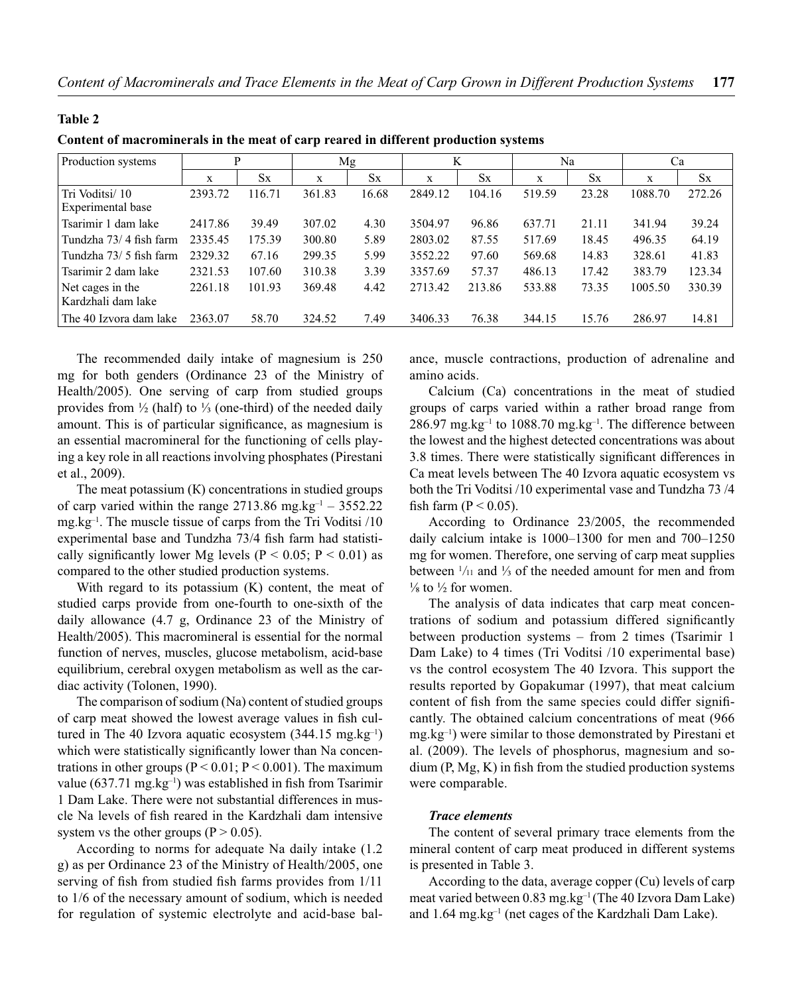Tsarimir 1 dam lake 2417.86 39.49 307.02 4.30 3504.97 96.86 637.71 21.11 341.94 39.24 Tundzha 73/ 4 fish farm 2335.45 175.39 300.80 5.89 2803.02 87.55 517.69 18.45 496.35 64.19 Tundzha 73/ 5 fish farm 2329.32 67.16 299.35 5.99 3552.22 97.60 569.68 14.83 328.61 41.83 Tsarimir 2 dam lake 2321.53 107.60 310.38 3.39 3357.69 57.37 486.13 17.42 383.79 123.34

2261.18 101.93 369.48 4.42 2713.42 213.86 533.88 73.35 1005.50 330.39

| Content of macrominerals in the meat of carp reared in different production systems |         |           |        |           |         |         |        |       |         |        |  |
|-------------------------------------------------------------------------------------|---------|-----------|--------|-----------|---------|---------|--------|-------|---------|--------|--|
| Production systems                                                                  |         |           | Mg     |           |         |         | Na     |       | Uа      |        |  |
|                                                                                     |         | <b>Sx</b> | X      | <b>Sx</b> | X       | $S_{X}$ |        | Sx    |         |        |  |
| Tri Voditsi/10<br>Experimental base                                                 | 2393.72 | 116.71    | 361.83 | 16.68     | 2849.12 | 104.16  | 519.59 | 23.28 | 1088.70 | 272.26 |  |

**Table 2**

Net cages in the Kardzhali dam lake

**nt production systems** 

| The 40 Izvora dam lake 2363.07                                                      | 58.70 | 324.52                                                                             | 7.49 | 3406.33      | 76.38 | 344.15                                                      | 15.76 | 286.97 | 14.81 |
|-------------------------------------------------------------------------------------|-------|------------------------------------------------------------------------------------|------|--------------|-------|-------------------------------------------------------------|-------|--------|-------|
|                                                                                     |       |                                                                                    |      |              |       |                                                             |       |        |       |
| The recommended daily intake of magnesium is 250                                    |       |                                                                                    |      |              |       | ance, muscle contractions, production of adrenaline a       |       |        |       |
| mg for both genders (Ordinance 23 of the Ministry of                                |       |                                                                                    |      | amino acids. |       |                                                             |       |        |       |
| Health/2005). One serving of carp from studied groups                               |       | Calcium (Ca) concentrations in the meat of stud                                    |      |              |       |                                                             |       |        |       |
| provides from $\frac{1}{2}$ (half) to $\frac{1}{3}$ (one-third) of the needed daily |       | groups of carps varied within a rather broad range fr                              |      |              |       |                                                             |       |        |       |
| amount. This is of particular significance, as magnesium is                         |       | $286.97$ mg.kg <sup>-1</sup> to 1088.70 mg.kg <sup>-1</sup> . The difference betwo |      |              |       |                                                             |       |        |       |
| an essential macromineral for the functioning of cells play-                        |       | the lowest and the highest detected concentrations was ab                          |      |              |       |                                                             |       |        |       |
| ing a key role in all reactions involving phosphates (Pirestani                     |       |                                                                                    |      |              |       | 3.8 times. There were statistically significant differences |       |        |       |
| et al., 2009).                                                                      |       |                                                                                    |      |              |       | Ca meat levels between The 40 Izvora aquatic ecosystem      |       |        |       |

The meat potassium (К) concentrations in studied groups of carp varied within the range  $2713.86$  mg.kg<sup>-1</sup> – 3552.22 mg.kg $^{-1}$ . The muscle tissue of carps from the Tri Voditsi  $/10$ experimental base and Tundzha 73/4 fish farm had statistically significantly lower Mg levels ( $P < 0.05$ ;  $P < 0.01$ ) as compared to the other studied production systems.

With regard to its potassium (K) content, the meat of studied carps provide from one-fourth to one-sixth of the daily allowance (4.7 g, Ordinance 23 of the Ministry of Health/2005). This macromineral is essential for the normal function of nerves, muscles, glucose metabolism, acid-base equilibrium, cerebral oxygen metabolism as well as the cardiac activity (Tolonen, 1990).

The comparison of sodium (Na) content of studied groups of carp meat showed the lowest average values in fish cultured in The 40 Izvora aquatic ecosystem  $(344.15 \text{ mg} \cdot \text{kg}^{-1})$ which were statistically significantly lower than Na concentrations in other groups ( $P < 0.01$ ;  $P < 0.001$ ). The maximum value (637.71 mg.kg<sup>-1</sup>) was established in fish from Tsarimir 1 Dam Lake. There were not substantial differences in muscle Na levels of fish reared in the Kardzhali dam intensive system vs the other groups  $(P > 0.05)$ .

According to norms for adequate Na daily intake (1.2 g) as per Ordinance 23 of the Ministry of Health/2005, one serving of fish from studied fish farms provides from  $1/11$ to 1/6 of the necessary amount of sodium, which is needed for regulation of systemic electrolyte and acid-base balance, muscle contractions, production of adrenaline and mino acids.

Calcium (Ca) concentrations in the meat of studied roups of carps varied within a rather broad range from  $86.97$  mg.kg<sup>-1</sup> to 1088.70 mg.kg<sup>-1</sup>. The difference between the lowest and the highest detected concentrations was about .8 times. There were statistically significant differences in Ca meat levels between The 40 Izvora aquatic ecosystem vs both the Tri Voditsi /10 experimental vase and Tundzha 73 /4 fish farm ( $P < 0.05$ ).

According to Ordinance 23/2005, the recommended daily calcium intake is 1000–1300 for men and 700–1250 mg for women. Therefore, one serving of carp meat supplies between  $\frac{1}{11}$  and  $\frac{1}{3}$  of the needed amount for men and from  $\frac{1}{8}$  to  $\frac{1}{2}$  for women.

The analysis of data indicates that carp meat concentrations of sodium and potassium differed significantly between production systems – from 2 times (Tsarimir 1 Dam Lake) to 4 times (Tri Voditsi /10 experimental base) vs the control ecosystem The 40 Izvora. This support the results reported by Gopakumar (1997), that meat calcium content of fish from the same species could differ significantly. The obtained calcium concentrations of meat (966 mg.kg–1) were similar to those demonstrated by Pirestani et al. (2009). The levels of phosphorus, magnesium and so $dium (P, Mg, K)$  in fish from the studied production systems were comparable.

#### *Trace elements*

The content of several primary trace elements from the mineral content of carp meat produced in different systems is presented in Table 3.

According to the data, average copper (Cu) levels of carp meat varied between 0.83 mg.kg–1 (The 40 Izvora Dam Lake) and 1.64 mg.kg–1 (net cages of the Kardzhali Dam Lake).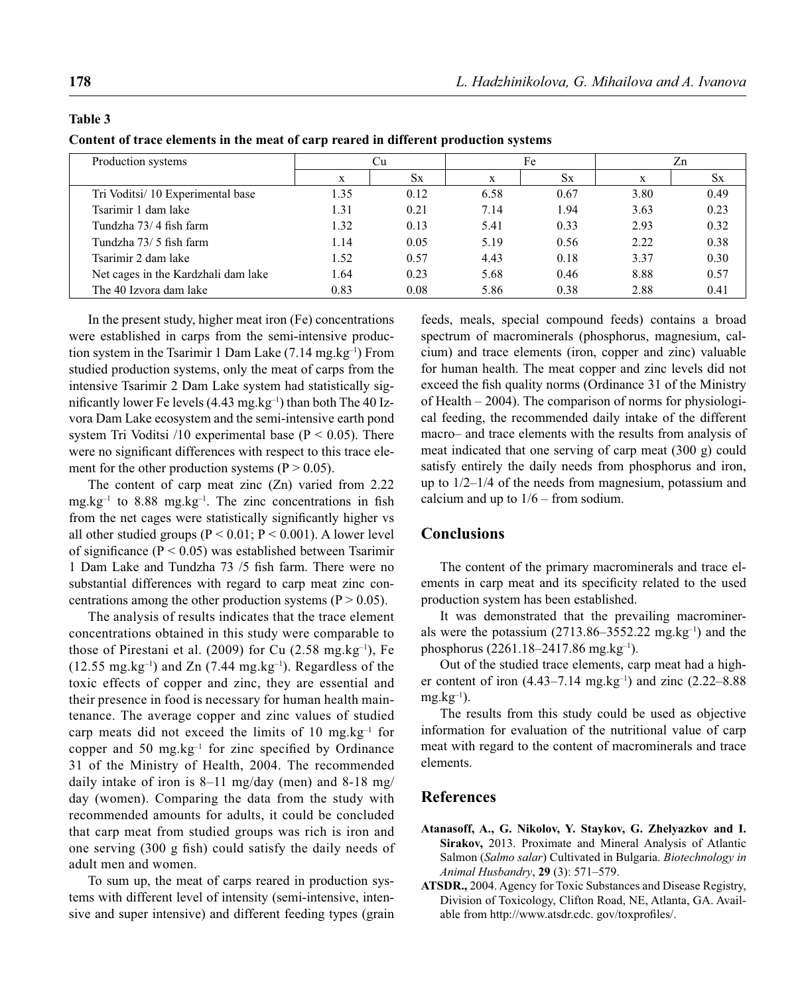# **Table 3**

**Content of trace elements in the meat of carp reared in different production systems** 

| Production systems                  |      | Сu        |      | Fe        | Zn   |           |
|-------------------------------------|------|-----------|------|-----------|------|-----------|
|                                     | X    | <b>Sx</b> | X    | <b>Sx</b> | X    | <b>Sx</b> |
| Tri Voditsi/10 Experimental base    | 1.35 | 0.12      | 6.58 | 0.67      | 3.80 | 0.49      |
| Tsarimir 1 dam lake                 | 1.31 | 0.21      | 7.14 | 1.94      | 3.63 | 0.23      |
| Tundzha 73/4 fish farm              | 1.32 | 0.13      | 5.41 | 0.33      | 2.93 | 0.32      |
| Tundzha 73/5 fish farm              | 1.14 | 0.05      | 5.19 | 0.56      | 2.22 | 0.38      |
| Tsarimir 2 dam lake                 | 1.52 | 0.57      | 4.43 | 0.18      | 3.37 | 0.30      |
| Net cages in the Kardzhali dam lake | 1.64 | 0.23      | 5.68 | 0.46      | 8.88 | 0.57      |
| The 40 Izvora dam lake              | 0.83 | 0.08      | 5.86 | 0.38      | 2.88 | 0.41      |

In the present study, higher meat iron (Fe) concentrations were established in carps from the semi-intensive production system in the Tsarimir 1 Dam Lake  $(7.14 \text{ mg} \cdot \text{kg}^{-1})$  From studied production systems, only the meat of carps from the intensive Tsarimir 2 Dam Lake system had statistically significantly lower Fe levels  $(4.43 \text{ mg} \cdot \text{kg}^{-1})$  than both The 40 Izvora Dam Lake ecosystem and the semi-intensive earth pond system Tri Voditsi  $/10$  experimental base (P < 0.05). There were no significant differences with respect to this trace element for the other production systems  $(P > 0.05)$ .

The content of carp meat zinc (Zn) varied from 2.22  $mg/kg^{-1}$  to 8.88 mg.kg<sup>-1</sup>. The zinc concentrations in fish from the net cages were statistically significantly higher vs all other studied groups ( $P < 0.01$ ;  $P < 0.001$ ). A lower level of significance ( $P < 0.05$ ) was established between Tsarimir 1 Dam Lake and Tundzha 73 /5 fish farm. There were no substantial differences with regard to carp meat zinc concentrations among the other production systems  $(P > 0.05)$ .

The analysis of results indicates that the trace element concentrations obtained in this study were comparable to those of Pirestani et al.  $(2009)$  for Cu  $(2.58 \text{ mg} \text{ kg}^{-1})$ , Fe  $(12.55 \text{ mg} \cdot \text{kg}^{-1})$  and Zn  $(7.44 \text{ mg} \cdot \text{kg}^{-1})$ . Regardless of the toxic effects of copper and zinc, they are essential and their presence in food is necessary for human health maintenance. The average copper and zinc values of studied carp meats did not exceed the limits of 10 mg.kg $^{-1}$  for copper and 50 mg.kg $^{-1}$  for zinc specified by Ordinance 31 of the Ministry of Health, 2004. The recommended daily intake of iron is 8–11 mg/day (men) and 8-18 mg/ day (women). Comparing the data from the study with recommended amounts for adults, it could be concluded that carp meat from studied groups was rich is iron and one serving  $(300 \text{ g fish})$  could satisfy the daily needs of adult men and women.

To sum up, the meat of carps reared in production systems with different level of intensity (semi-intensive, intensive and super intensive) and different feeding types (grain feeds, meals, special compound feeds) contains a broad spectrum of macrominerals (phosphorus, magnesium, calcium) and trace elements (iron, copper and zinc) valuable for human health. The meat copper and zinc levels did not exceed the fish quality norms (Ordinance 31 of the Ministry of Health – 2004). The comparison of norms for physiological feeding, the recommended daily intake of the different macro– and trace elements with the results from analysis of meat indicated that one serving of carp meat (300 g) could satisfy entirely the daily needs from phosphorus and iron, up to 1/2–1/4 of the needs from magnesium, potassium and calcium and up to  $1/6$  – from sodium.

### **Conclusions**

The content of the primary macrominerals and trace elements in carp meat and its specificity related to the used production system has been established.

It was demonstrated that the prevailing macrominerals were the potassium  $(2713.86-3552.22 \text{ mg} \cdot \text{kg}^{-1})$  and the phosphorus (2261.18–2417.86 mg.kg–1).

Out of the studied trace elements, carp meat had a higher content of iron  $(4.43-7.14 \text{ mg} \cdot \text{kg}^{-1})$  and zinc  $(2.22-8.88$  $mg.kg^{-1}$ ).

The results from this study could be used as objective information for evaluation of the nutritional value of carp meat with regard to the content of macrominerals and trace elements.

### **References**

- **Atanasoff, A., G. Nikolov, Y. Staykov, G. Zhelyazkov and I. Sirakov,** 2013. Proximate and Mineral Analysis of Atlantic Salmon (*Salmo salar*) Cultivated in Bulgaria. *Biotechnology in Animal Husbandry*, **29** (3): 571–579.
- **ATSDR.,** 2004. Agency for Toxic Substances and Disease Registry, Division of Toxicology, Clifton Road, NE, Atlanta, GA. Available from http://www.atsdr.cdc. gov/toxprofiles/.